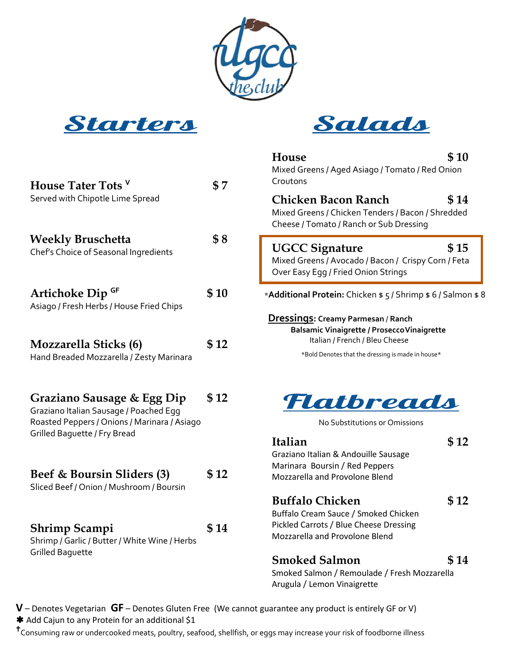





| House Tater Tots V                                                                                                                                          | \$7   | House<br>Mixed Greens / Aged Asiago / Tomato / Red Onion<br>Croutons                                                                                                            | \$10 |
|-------------------------------------------------------------------------------------------------------------------------------------------------------------|-------|---------------------------------------------------------------------------------------------------------------------------------------------------------------------------------|------|
| Served with Chipotle Lime Spread                                                                                                                            |       | <b>Chicken Bacon Ranch</b><br>Mixed Greens / Chicken Tenders / Bacon / Shredded<br>Cheese / Tomato / Ranch or Sub Dressing                                                      | \$14 |
| <b>Weekly Bruschetta</b><br>Chef's Choice of Seasonal Ingredients                                                                                           | \$8   | <b>UGCC Signature</b><br>Mixed Greens / Avocado / Bacon / Crispy Corn / Feta<br>Over Easy Egg / Fried Onion Strings                                                             | \$15 |
| Artichoke Dip GF<br>Asiago / Fresh Herbs / House Fried Chips                                                                                                | \$10  | *Additional Protein: Chicken \$ 5 / Shrimp \$ 6 / Salmon \$ 8                                                                                                                   |      |
| <b>Mozzarella Sticks (6)</b><br>Hand Breaded Mozzarella / Zesty Marinara                                                                                    | \$12  | Dressings: Creamy Parmesan / Ranch<br><b>Balsamic Vinaigrette / Prosecco Vinaigrette</b><br>Italian / French / Bleu Cheese<br>*Bold Denotes that the dressing is made in house* |      |
| Graziano Sausage & Egg Dip<br>Graziano Italian Sausage / Poached Egg<br>Roasted Peppers / Onions / Marinara / Asiago<br><b>Grilled Baquette / Fry Bread</b> | \$12  | Flatbreads<br>No Substitutions or Omissions                                                                                                                                     |      |
|                                                                                                                                                             | \$12  | Italian<br>Graziano Italian & Andouille Sausage<br>Marinara Boursin / Red Peppers                                                                                               | \$12 |
| Beef & Boursin Sliders (3)<br>Sliced Beef / Onion / Mushroom / Boursin                                                                                      |       | Mozzarella and Provolone Blend                                                                                                                                                  |      |
| Shrimp Scampi<br>Shrimp / Garlic / Butter / White Wine / Herbs                                                                                              | \$ 14 | <b>Buffalo Chicken</b><br>Buffalo Cream Sauce / Smoked Chicken<br>Pickled Carrots / Blue Cheese Dressing<br>Mozzarella and Provolone Blend                                      | \$12 |
| <b>Grilled Baquette</b>                                                                                                                                     |       | <b>Smoked Salmon</b><br>Smoked Salmon / Remoulade / Fresh Mozzarella<br>Arugula / Lemon Vinaigrette                                                                             | \$14 |

**V** – Denotes Vegetarian **GF** – Denotes Gluten Free (We cannot guarantee any product is entirely GF or V) \* Add Cajun to any Protein for an additional \$1

Consuming raw or undercooked meats, poultry, seafood, shellfish, or eggs may increase your risk of foodborne illness